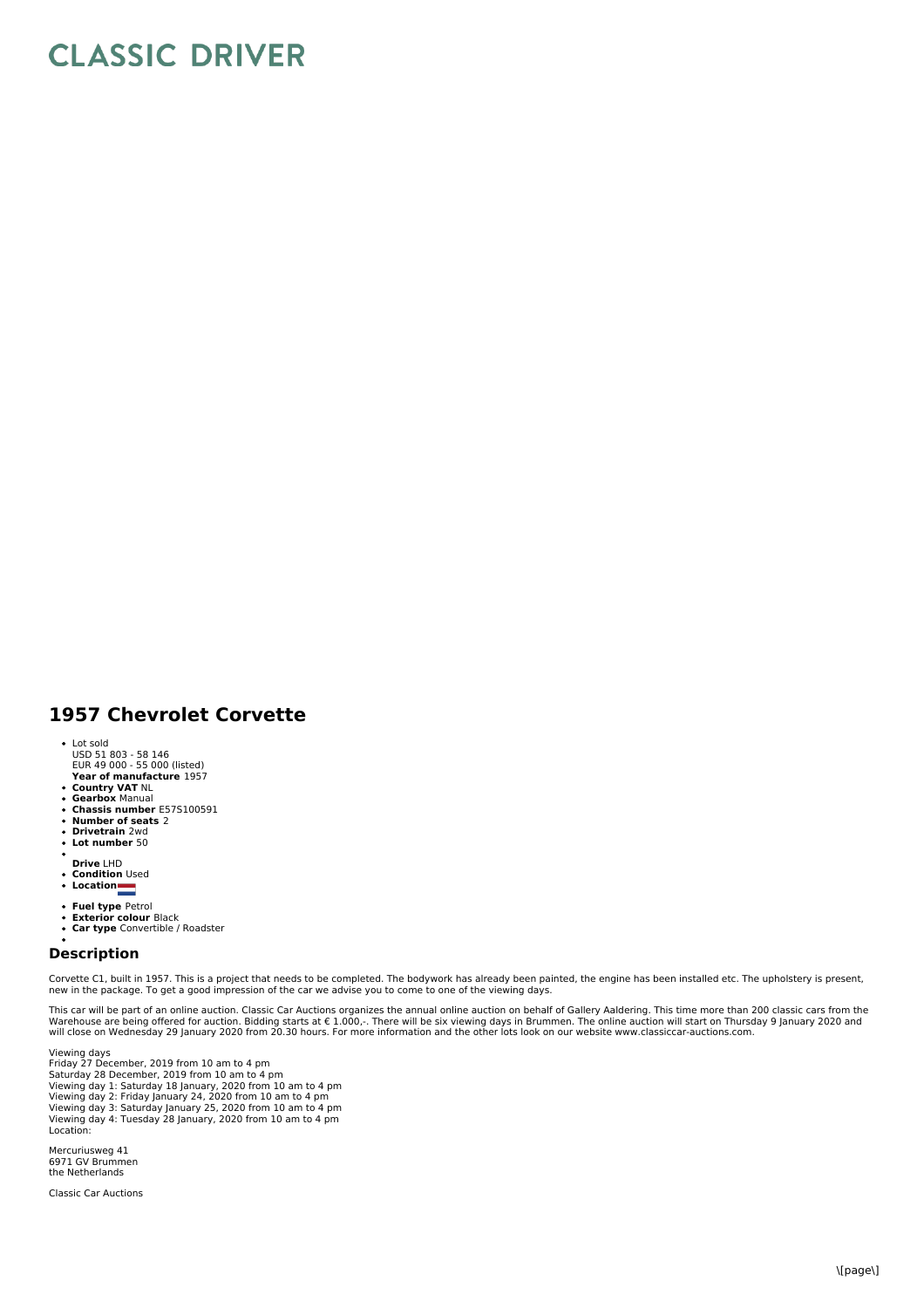## **CLASSIC DRIVER**

## **1957 Chevrolet Corvette**

- Lot sold
- USD 51 803 58 146 EUR 49 000 55 000 (listed)
- **Year of manufacture** 1957
- 
- **Country VAT** NL **Gearbox** Manual **Chassis number** E57S100591
- $\bullet$
- **Number of seats** 2 **Drivetrain** 2wd  $\ddot{\phantom{a}}$
- **Lot number** 50
- **Drive** LHD
- 
- **Condition** Used **Location**
- 
- **Fuel type** Petrol
- $\bullet$ **Exterior colour** Black **Car type** Convertible / Roadster  $\overline{a}$
- 

## **Description**

Corvette C1, built in 1957. This is a project that needs to be completed. The bodywork has already been painted, the engine has been installed etc. The upholstery is present, new in the package. To get a good impression of the car we advise you to come to one of the viewing days.

This car will be part of an online auction. Classic Car Auctions organizes the annual online auction on behalf of Gallery Aaldering. This time more than 200 classic cars from the<br>Warehouse are being offered for auction. Bi

Viewing days Friday 27 December, 2019 from 10 am to 4 pm Saturday 28 December, 2019 from 10 am to 4 pm Viewing day 1: Saturday 18 January, 2020 from 10 am to 4 pm Viewing day 2: Friday January 24, 2020 from 10 am to 4 pm Viewing day 3: Saturday January 25, 2020 from 10 am to 4 pm Viewing day 4: Tuesday 28 January, 2020 from 10 am to 4 pm Location:

Mercuriusweg 41 6971 GV Brummen the Netherlands

Classic Car Auctions